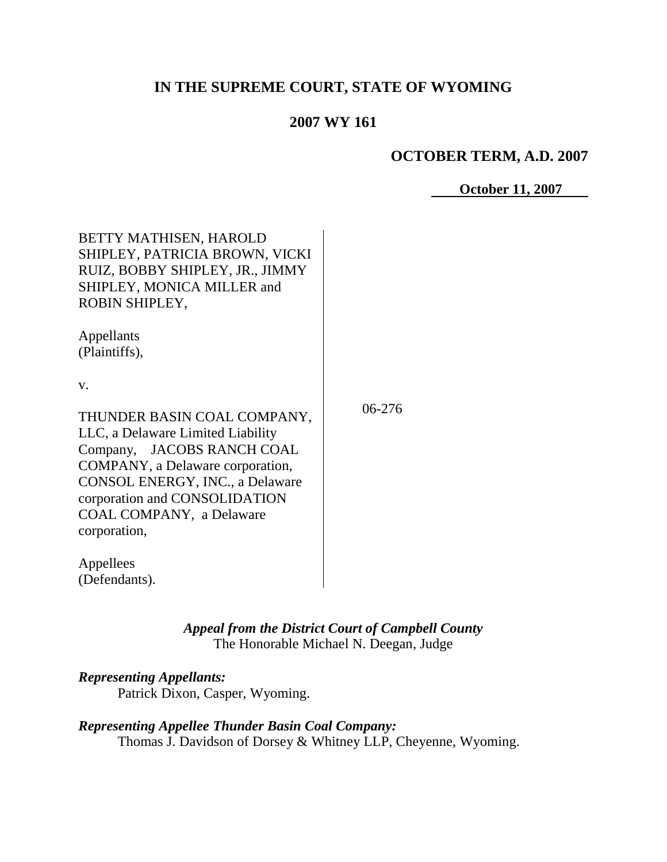# **IN THE SUPREME COURT, STATE OF WYOMING**

# **2007 WY 161**

## **OCTOBER TERM, A.D. 2007**

**October 11, 2007**

| BETTY MATHISEN, HAROLD<br>SHIPLEY, PATRICIA BROWN, VICKI<br>RUIZ, BOBBY SHIPLEY, JR., JIMMY<br>SHIPLEY, MONICA MILLER and<br>ROBIN SHIPLEY,                                                                                                                |          |
|------------------------------------------------------------------------------------------------------------------------------------------------------------------------------------------------------------------------------------------------------------|----------|
| Appellants<br>(Plaintiffs),                                                                                                                                                                                                                                |          |
| v.                                                                                                                                                                                                                                                         |          |
| THUNDER BASIN COAL COMPANY,<br>LLC, a Delaware Limited Liability<br>Company, JACOBS RANCH COAL<br>COMPANY, a Delaware corporation,<br>CONSOL ENERGY, INC., a Delaware<br>corporation and CONSOLIDATION<br><b>COAL COMPANY</b> , a Delaware<br>corporation, | $06-276$ |
| Appellees<br>(Defendants).                                                                                                                                                                                                                                 |          |

*Appeal from the District Court of Campbell County* The Honorable Michael N. Deegan, Judge

## *Representing Appellants:*

Patrick Dixon, Casper, Wyoming.

# *Representing Appellee Thunder Basin Coal Company:*

Thomas J. Davidson of Dorsey & Whitney LLP, Cheyenne, Wyoming.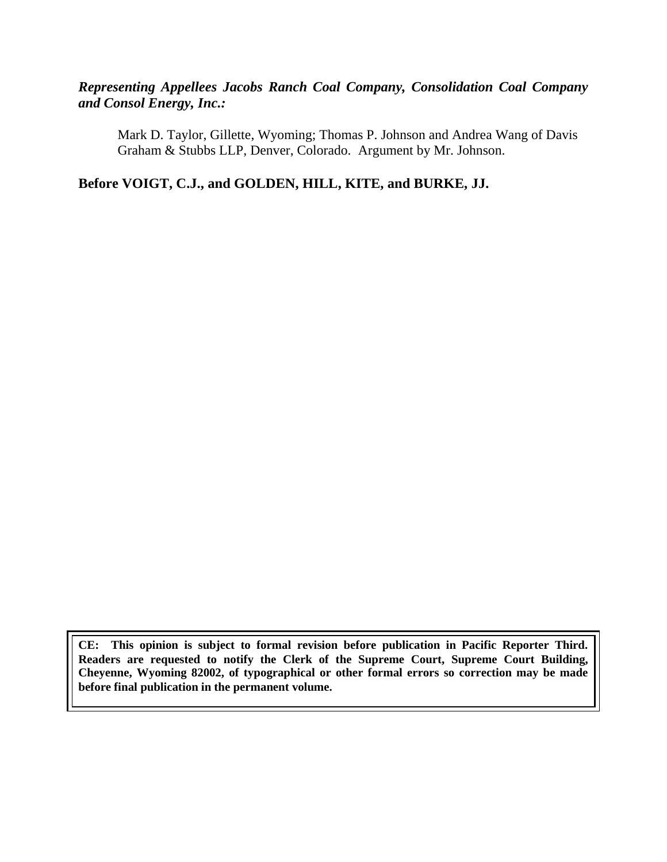# *Representing Appellees Jacobs Ranch Coal Company, Consolidation Coal Company and Consol Energy, Inc.:*

Mark D. Taylor, Gillette, Wyoming; Thomas P. Johnson and Andrea Wang of Davis Graham & Stubbs LLP, Denver, Colorado. Argument by Mr. Johnson.

**Before VOIGT, C.J., and GOLDEN, HILL, KITE, and BURKE, JJ.**

**CE: This opinion is subject to formal revision before publication in Pacific Reporter Third. Readers are requested to notify the Clerk of the Supreme Court, Supreme Court Building, Cheyenne, Wyoming 82002, of typographical or other formal errors so correction may be made before final publication in the permanent volume.**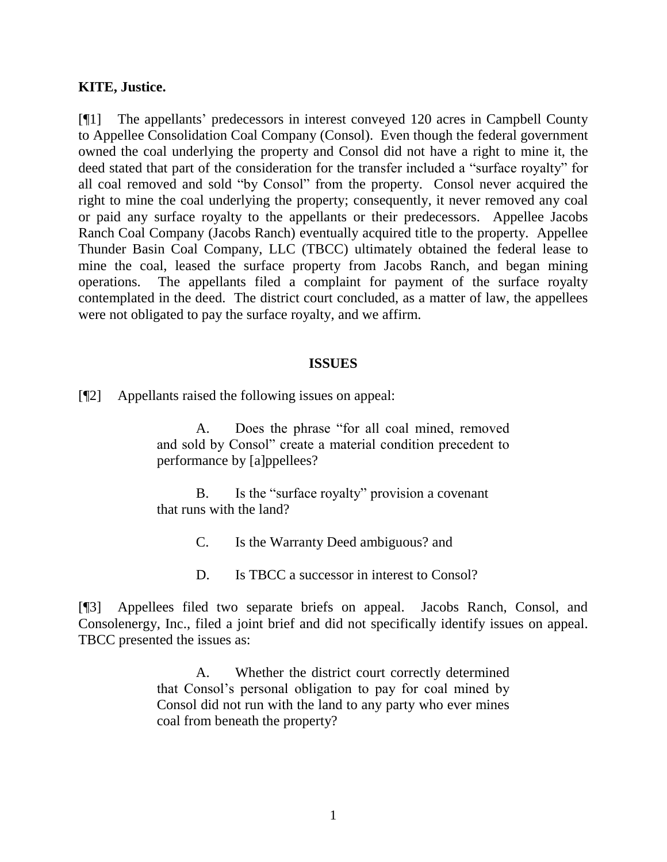#### **KITE, Justice.**

[¶1] The appellants" predecessors in interest conveyed 120 acres in Campbell County to Appellee Consolidation Coal Company (Consol). Even though the federal government owned the coal underlying the property and Consol did not have a right to mine it, the deed stated that part of the consideration for the transfer included a "surface royalty" for all coal removed and sold "by Consol" from the property. Consol never acquired the right to mine the coal underlying the property; consequently, it never removed any coal or paid any surface royalty to the appellants or their predecessors. Appellee Jacobs Ranch Coal Company (Jacobs Ranch) eventually acquired title to the property. Appellee Thunder Basin Coal Company, LLC (TBCC) ultimately obtained the federal lease to mine the coal, leased the surface property from Jacobs Ranch, and began mining operations. The appellants filed a complaint for payment of the surface royalty contemplated in the deed. The district court concluded, as a matter of law, the appellees were not obligated to pay the surface royalty, and we affirm.

#### **ISSUES**

[¶2] Appellants raised the following issues on appeal:

A. Does the phrase "for all coal mined, removed and sold by Consol" create a material condition precedent to performance by [a]ppellees?

B. Is the "surface royalty" provision a covenant that runs with the land?

C. Is the Warranty Deed ambiguous? and

D. Is TBCC a successor in interest to Consol?

[¶3] Appellees filed two separate briefs on appeal. Jacobs Ranch, Consol, and Consolenergy, Inc., filed a joint brief and did not specifically identify issues on appeal. TBCC presented the issues as:

> A. Whether the district court correctly determined that Consol"s personal obligation to pay for coal mined by Consol did not run with the land to any party who ever mines coal from beneath the property?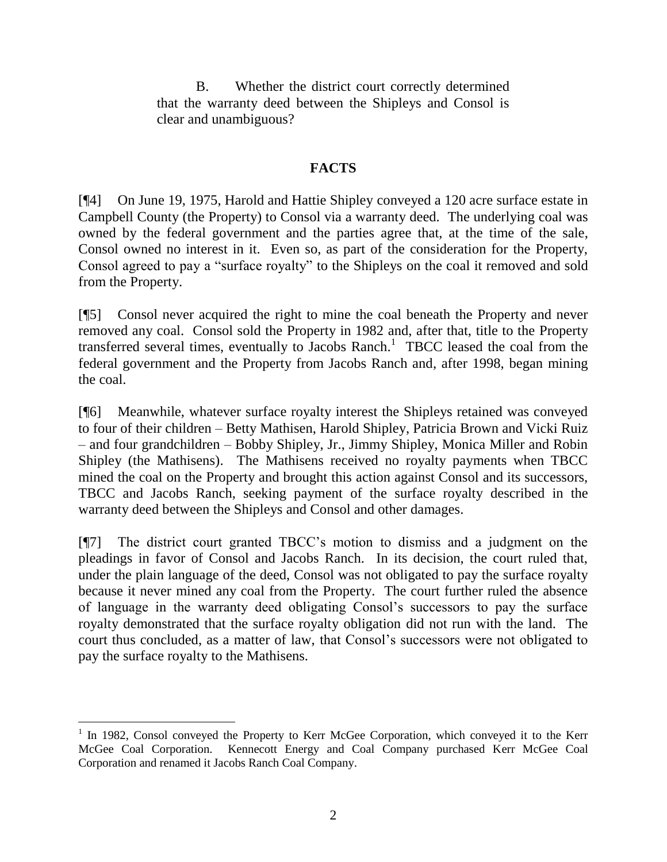B. Whether the district court correctly determined that the warranty deed between the Shipleys and Consol is clear and unambiguous?

# **FACTS**

[¶4] On June 19, 1975, Harold and Hattie Shipley conveyed a 120 acre surface estate in Campbell County (the Property) to Consol via a warranty deed. The underlying coal was owned by the federal government and the parties agree that, at the time of the sale, Consol owned no interest in it. Even so, as part of the consideration for the Property, Consol agreed to pay a "surface royalty" to the Shipleys on the coal it removed and sold from the Property.

[¶5] Consol never acquired the right to mine the coal beneath the Property and never removed any coal. Consol sold the Property in 1982 and, after that, title to the Property transferred several times, eventually to Jacobs Ranch.<sup>1</sup> TBCC leased the coal from the federal government and the Property from Jacobs Ranch and, after 1998, began mining the coal.

[¶6] Meanwhile, whatever surface royalty interest the Shipleys retained was conveyed to four of their children – Betty Mathisen, Harold Shipley, Patricia Brown and Vicki Ruiz – and four grandchildren – Bobby Shipley, Jr., Jimmy Shipley, Monica Miller and Robin Shipley (the Mathisens). The Mathisens received no royalty payments when TBCC mined the coal on the Property and brought this action against Consol and its successors, TBCC and Jacobs Ranch, seeking payment of the surface royalty described in the warranty deed between the Shipleys and Consol and other damages.

[¶7] The district court granted TBCC"s motion to dismiss and a judgment on the pleadings in favor of Consol and Jacobs Ranch. In its decision, the court ruled that, under the plain language of the deed, Consol was not obligated to pay the surface royalty because it never mined any coal from the Property. The court further ruled the absence of language in the warranty deed obligating Consol"s successors to pay the surface royalty demonstrated that the surface royalty obligation did not run with the land. The court thus concluded, as a matter of law, that Consol"s successors were not obligated to pay the surface royalty to the Mathisens.

<sup>&</sup>lt;sup>1</sup> In 1982, Consol conveyed the Property to Kerr McGee Corporation, which conveyed it to the Kerr McGee Coal Corporation. Kennecott Energy and Coal Company purchased Kerr McGee Coal Corporation and renamed it Jacobs Ranch Coal Company.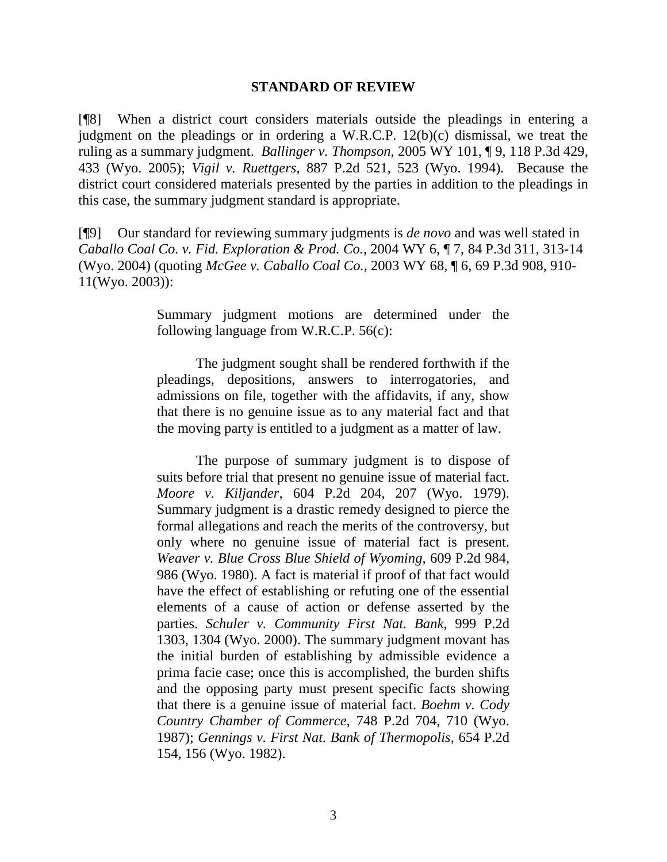#### **STANDARD OF REVIEW**

[¶8] When a district court considers materials outside the pleadings in entering a judgment on the pleadings or in ordering a W.R.C.P. 12(b)(c) dismissal, we treat the ruling as a summary judgment. *Ballinger v. Thompson*, 2005 WY 101, ¶ 9, 118 P.3d 429, 433 (Wyo. 2005); *Vigil v. Ruettgers*, 887 P.2d 521, 523 (Wyo. 1994). Because the district court considered materials presented by the parties in addition to the pleadings in this case, the summary judgment standard is appropriate.

[¶9] Our standard for reviewing summary judgments is *de novo* and was well stated in *Caballo Coal Co. v. Fid. Exploration & Prod. Co.*, 2004 WY 6, ¶ 7, 84 P.3d 311, 313-14 (Wyo. 2004) (quoting *McGee v. Caballo Coal Co.*, 2003 WY 68, ¶ 6, 69 P.3d 908, 910- 11(Wyo. 2003)):

> Summary judgment motions are determined under the following language from W.R.C.P. 56(c):

> The judgment sought shall be rendered forthwith if the pleadings, depositions, answers to interrogatories, and admissions on file, together with the affidavits, if any, show that there is no genuine issue as to any material fact and that the moving party is entitled to a judgment as a matter of law.

> The purpose of summary judgment is to dispose of suits before trial that present no genuine issue of material fact. *Moore v. Kiljander*, 604 P.2d 204, 207 (Wyo. 1979). Summary judgment is a drastic remedy designed to pierce the formal allegations and reach the merits of the controversy, but only where no genuine issue of material fact is present. *Weaver v. Blue Cross Blue Shield of Wyoming,* 609 P.2d 984, 986 (Wyo. 1980). A fact is material if proof of that fact would have the effect of establishing or refuting one of the essential elements of a cause of action or defense asserted by the parties. *Schuler v. Community First Nat. Bank*, 999 P.2d 1303, 1304 (Wyo. 2000). The summary judgment movant has the initial burden of establishing by admissible evidence a prima facie case; once this is accomplished, the burden shifts and the opposing party must present specific facts showing that there is a genuine issue of material fact. *Boehm v. Cody Country Chamber of Commerce*, 748 P.2d 704, 710 (Wyo. 1987); *Gennings v. First Nat. Bank of Thermopolis*, 654 P.2d 154, 156 (Wyo. 1982).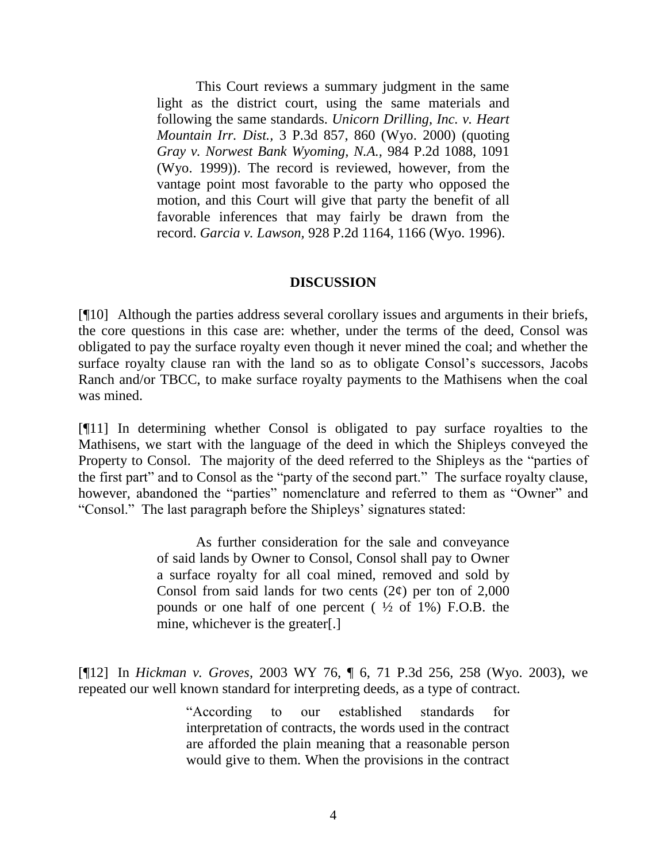This Court reviews a summary judgment in the same light as the district court, using the same materials and following the same standards. *Unicorn Drilling, Inc. v. Heart Mountain Irr. Dist.,* 3 P.3d 857, 860 (Wyo. 2000) (quoting *Gray v. Norwest Bank Wyoming, N.A.,* 984 P.2d 1088, 1091 (Wyo. 1999)). The record is reviewed, however, from the vantage point most favorable to the party who opposed the motion, and this Court will give that party the benefit of all favorable inferences that may fairly be drawn from the record. *Garcia v. Lawson,* 928 P.2d 1164, 1166 (Wyo. 1996).

#### **DISCUSSION**

[¶10] Although the parties address several corollary issues and arguments in their briefs, the core questions in this case are: whether, under the terms of the deed, Consol was obligated to pay the surface royalty even though it never mined the coal; and whether the surface royalty clause ran with the land so as to obligate Consol"s successors, Jacobs Ranch and/or TBCC, to make surface royalty payments to the Mathisens when the coal was mined.

[¶11] In determining whether Consol is obligated to pay surface royalties to the Mathisens, we start with the language of the deed in which the Shipleys conveyed the Property to Consol. The majority of the deed referred to the Shipleys as the "parties of the first part" and to Consol as the "party of the second part." The surface royalty clause, however, abandoned the "parties" nomenclature and referred to them as "Owner" and "Consol." The last paragraph before the Shipleys" signatures stated:

> As further consideration for the sale and conveyance of said lands by Owner to Consol, Consol shall pay to Owner a surface royalty for all coal mined, removed and sold by Consol from said lands for two cents  $(2¢)$  per ton of 2,000 pounds or one half of one percent ( $\frac{1}{2}$  of 1%) F.O.B. the mine, whichever is the greater[.]

[¶12] In *Hickman v. Groves*, 2003 WY 76, ¶ 6, 71 P.3d 256, 258 (Wyo. 2003), we repeated our well known standard for interpreting deeds, as a type of contract.

> "According to our established standards for interpretation of contracts, the words used in the contract are afforded the plain meaning that a reasonable person would give to them. When the provisions in the contract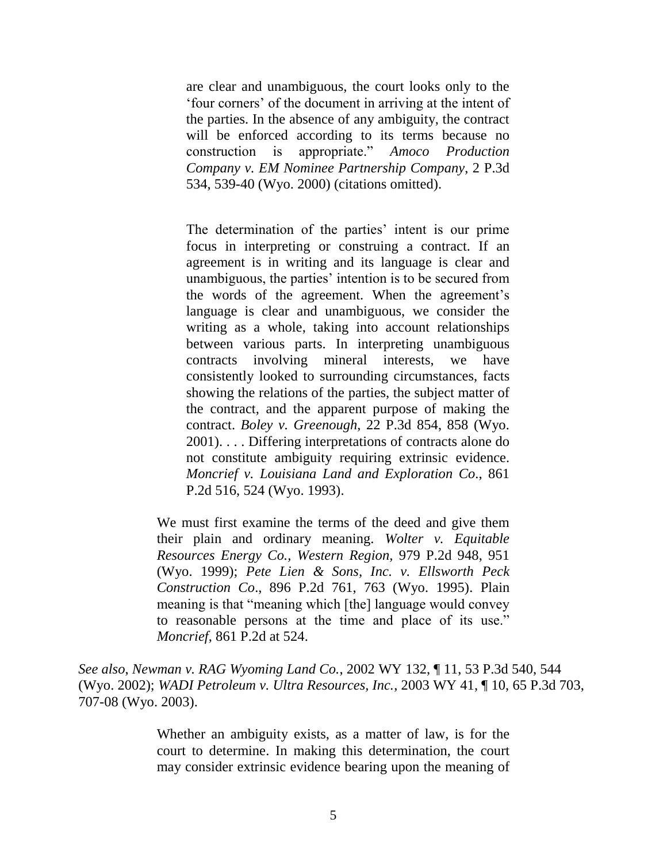are clear and unambiguous, the court looks only to the "four corners" of the document in arriving at the intent of the parties. In the absence of any ambiguity, the contract will be enforced according to its terms because no construction is appropriate." *Amoco Production Company v. EM Nominee Partnership Company*, 2 P.3d 534, 539-40 (Wyo. 2000) (citations omitted).

The determination of the parties' intent is our prime focus in interpreting or construing a contract. If an agreement is in writing and its language is clear and unambiguous, the parties" intention is to be secured from the words of the agreement. When the agreement"s language is clear and unambiguous, we consider the writing as a whole, taking into account relationships between various parts. In interpreting unambiguous contracts involving mineral interests, we have consistently looked to surrounding circumstances, facts showing the relations of the parties, the subject matter of the contract, and the apparent purpose of making the contract. *Boley v. Greenough*, 22 P.3d 854, 858 (Wyo. 2001). . . . Differing interpretations of contracts alone do not constitute ambiguity requiring extrinsic evidence. *Moncrief v. Louisiana Land and Exploration Co*., 861 P.2d 516, 524 (Wyo. 1993).

We must first examine the terms of the deed and give them their plain and ordinary meaning. *Wolter v. Equitable Resources Energy Co., Western Region,* 979 P.2d 948, 951 (Wyo. 1999); *Pete Lien & Sons, Inc. v. Ellsworth Peck Construction Co*., 896 P.2d 761, 763 (Wyo. 1995). Plain meaning is that "meaning which [the] language would convey to reasonable persons at the time and place of its use." *Moncrief*, 861 P.2d at 524.

*See also*, *Newman v. RAG Wyoming Land Co.*, 2002 WY 132, ¶ 11, 53 P.3d 540, 544 (Wyo. 2002); *WADI Petroleum v. Ultra Resources, Inc.*, 2003 WY 41, ¶ 10, 65 P.3d 703, 707-08 (Wyo. 2003).

> Whether an ambiguity exists, as a matter of law, is for the court to determine. In making this determination, the court may consider extrinsic evidence bearing upon the meaning of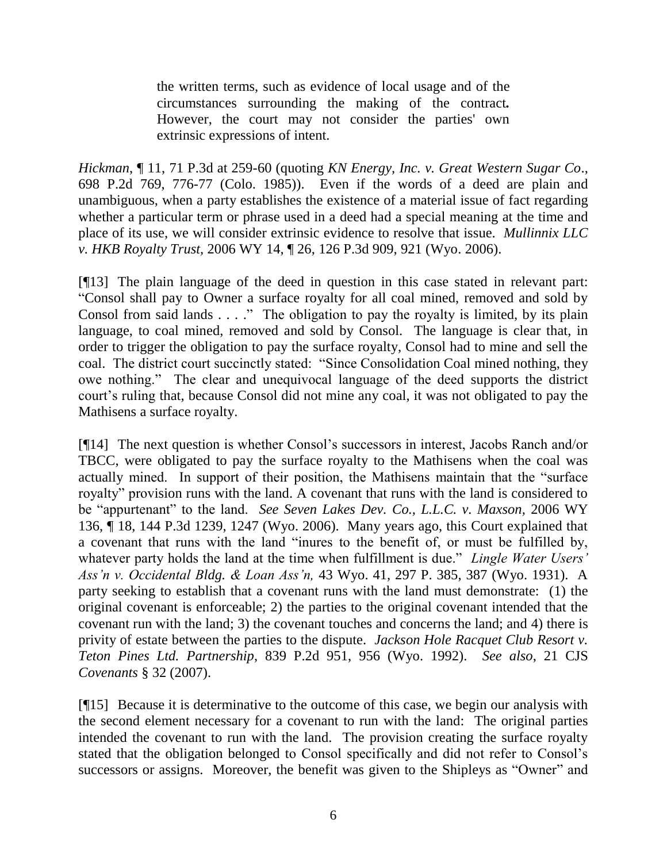the written terms, such as evidence of local usage and of the circumstances surrounding the making of the contract*.* However, the court may not consider the parties' own extrinsic expressions of intent.

*Hickman*, ¶ 11, 71 P.3d at 259-60 (quoting *KN Energy, Inc. v. Great Western Sugar Co*., 698 P.2d 769, 776-77 (Colo. 1985)). Even if the words of a deed are plain and unambiguous, when a party establishes the existence of a material issue of fact regarding whether a particular term or phrase used in a deed had a special meaning at the time and place of its use, we will consider extrinsic evidence to resolve that issue. *Mullinnix LLC v. HKB Royalty Trust,* 2006 WY 14, ¶ 26, 126 P.3d 909, 921 (Wyo. 2006).

[¶13] The plain language of the deed in question in this case stated in relevant part: "Consol shall pay to Owner a surface royalty for all coal mined, removed and sold by Consol from said lands  $\dots$ ." The obligation to pay the royalty is limited, by its plain language, to coal mined, removed and sold by Consol. The language is clear that, in order to trigger the obligation to pay the surface royalty, Consol had to mine and sell the coal. The district court succinctly stated: "Since Consolidation Coal mined nothing, they owe nothing." The clear and unequivocal language of the deed supports the district court's ruling that, because Consol did not mine any coal, it was not obligated to pay the Mathisens a surface royalty.

[¶14] The next question is whether Consol"s successors in interest, Jacobs Ranch and/or TBCC, were obligated to pay the surface royalty to the Mathisens when the coal was actually mined. In support of their position, the Mathisens maintain that the "surface royalty" provision runs with the land. A covenant that runs with the land is considered to be "appurtenant" to the land. *See Seven Lakes Dev. Co., L.L.C. v. Maxson,* 2006 WY 136, ¶ 18, 144 P.3d 1239, 1247 (Wyo. 2006). Many years ago, this Court explained that a covenant that runs with the land "inures to the benefit of, or must be fulfilled by, whatever party holds the land at the time when fulfillment is due." *Lingle Water Users' Ass'n v. Occidental Bldg. & Loan Ass'n,* 43 Wyo. 41, 297 P. 385, 387 (Wyo. 1931). A party seeking to establish that a covenant runs with the land must demonstrate: (1) the original covenant is enforceable; 2) the parties to the original covenant intended that the covenant run with the land; 3) the covenant touches and concerns the land; and 4) there is privity of estate between the parties to the dispute. *Jackson Hole Racquet Club Resort v. Teton Pines Ltd. Partnership*, 839 P.2d 951, 956 (Wyo. 1992). *See also*, 21 CJS *Covenants* § 32 (2007).

[¶15] Because it is determinative to the outcome of this case, we begin our analysis with the second element necessary for a covenant to run with the land: The original parties intended the covenant to run with the land. The provision creating the surface royalty stated that the obligation belonged to Consol specifically and did not refer to Consol"s successors or assigns. Moreover, the benefit was given to the Shipleys as "Owner" and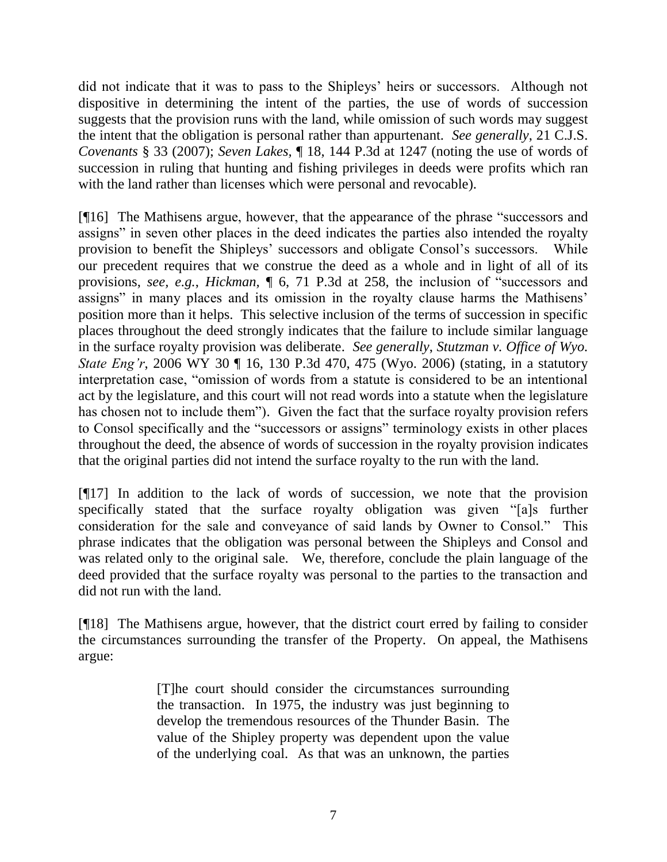did not indicate that it was to pass to the Shipleys' heirs or successors. Although not dispositive in determining the intent of the parties, the use of words of succession suggests that the provision runs with the land, while omission of such words may suggest the intent that the obligation is personal rather than appurtenant. *See generally*, 21 C.J.S. *Covenants* § 33 (2007); *Seven Lakes,* ¶ 18, 144 P.3d at 1247 (noting the use of words of succession in ruling that hunting and fishing privileges in deeds were profits which ran with the land rather than licenses which were personal and revocable).

[¶16] The Mathisens argue, however, that the appearance of the phrase "successors and assigns" in seven other places in the deed indicates the parties also intended the royalty provision to benefit the Shipleys" successors and obligate Consol"s successors. While our precedent requires that we construe the deed as a whole and in light of all of its provisions, *see, e.g.*, *Hickman,* ¶ 6, 71 P.3d at 258, the inclusion of "successors and assigns" in many places and its omission in the royalty clause harms the Mathisens' position more than it helps. This selective inclusion of the terms of succession in specific places throughout the deed strongly indicates that the failure to include similar language in the surface royalty provision was deliberate. *See generally*, *Stutzman v. Office of Wyo. State Eng'r*, 2006 WY 30 ¶ 16, 130 P.3d 470, 475 (Wyo. 2006) (stating, in a statutory interpretation case, "omission of words from a statute is considered to be an intentional act by the legislature, and this court will not read words into a statute when the legislature has chosen not to include them"). Given the fact that the surface royalty provision refers to Consol specifically and the "successors or assigns" terminology exists in other places throughout the deed, the absence of words of succession in the royalty provision indicates that the original parties did not intend the surface royalty to the run with the land.

[¶17] In addition to the lack of words of succession, we note that the provision specifically stated that the surface royalty obligation was given "[a]s further consideration for the sale and conveyance of said lands by Owner to Consol." This phrase indicates that the obligation was personal between the Shipleys and Consol and was related only to the original sale. We, therefore, conclude the plain language of the deed provided that the surface royalty was personal to the parties to the transaction and did not run with the land.

[¶18] The Mathisens argue, however, that the district court erred by failing to consider the circumstances surrounding the transfer of the Property. On appeal, the Mathisens argue:

> [T]he court should consider the circumstances surrounding the transaction. In 1975, the industry was just beginning to develop the tremendous resources of the Thunder Basin. The value of the Shipley property was dependent upon the value of the underlying coal. As that was an unknown, the parties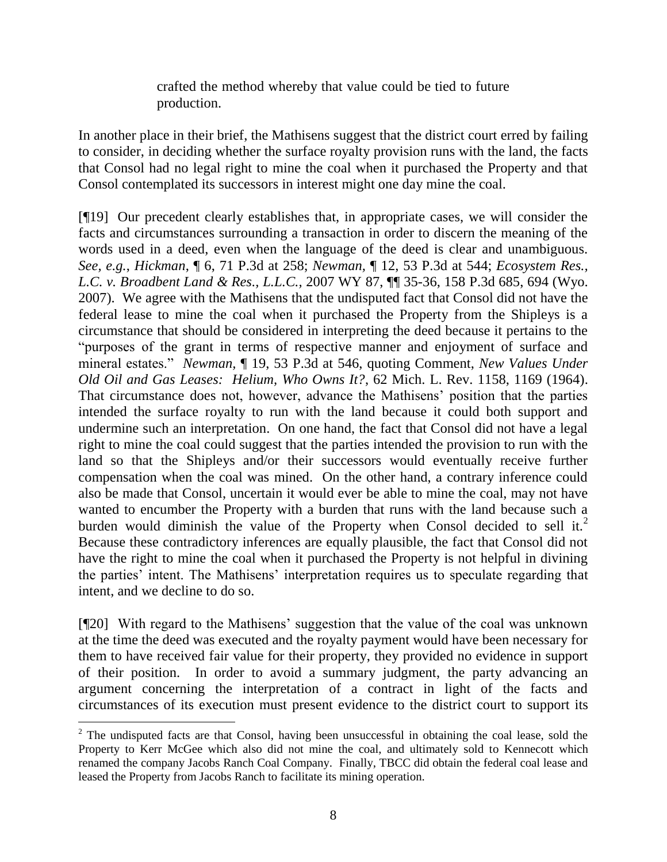crafted the method whereby that value could be tied to future production.

In another place in their brief, the Mathisens suggest that the district court erred by failing to consider, in deciding whether the surface royalty provision runs with the land, the facts that Consol had no legal right to mine the coal when it purchased the Property and that Consol contemplated its successors in interest might one day mine the coal.

[¶19] Our precedent clearly establishes that, in appropriate cases, we will consider the facts and circumstances surrounding a transaction in order to discern the meaning of the words used in a deed, even when the language of the deed is clear and unambiguous. *See, e.g.*, *Hickman*, ¶ 6, 71 P.3d at 258; *Newman,* ¶ 12, 53 P.3d at 544; *Ecosystem Res., L.C. v. Broadbent Land & Res., L.L.C.,* 2007 WY 87, ¶¶ 35-36, 158 P.3d 685, 694 (Wyo. 2007). We agree with the Mathisens that the undisputed fact that Consol did not have the federal lease to mine the coal when it purchased the Property from the Shipleys is a circumstance that should be considered in interpreting the deed because it pertains to the "purposes of the grant in terms of respective manner and enjoyment of surface and mineral estates." *Newman,* ¶ 19, 53 P.3d at 546, quoting Comment, *New Values Under Old Oil and Gas Leases: Helium, Who Owns It?*, 62 Mich. L. Rev. 1158, 1169 (1964). That circumstance does not, however, advance the Mathisens" position that the parties intended the surface royalty to run with the land because it could both support and undermine such an interpretation. On one hand, the fact that Consol did not have a legal right to mine the coal could suggest that the parties intended the provision to run with the land so that the Shipleys and/or their successors would eventually receive further compensation when the coal was mined. On the other hand, a contrary inference could also be made that Consol, uncertain it would ever be able to mine the coal, may not have wanted to encumber the Property with a burden that runs with the land because such a burden would diminish the value of the Property when Consol decided to sell it.<sup>2</sup> Because these contradictory inferences are equally plausible, the fact that Consol did not have the right to mine the coal when it purchased the Property is not helpful in divining the parties' intent. The Mathisens' interpretation requires us to speculate regarding that intent, and we decline to do so.

[¶20] With regard to the Mathisens" suggestion that the value of the coal was unknown at the time the deed was executed and the royalty payment would have been necessary for them to have received fair value for their property, they provided no evidence in support of their position. In order to avoid a summary judgment, the party advancing an argument concerning the interpretation of a contract in light of the facts and circumstances of its execution must present evidence to the district court to support its

 $2$  The undisputed facts are that Consol, having been unsuccessful in obtaining the coal lease, sold the Property to Kerr McGee which also did not mine the coal, and ultimately sold to Kennecott which renamed the company Jacobs Ranch Coal Company. Finally, TBCC did obtain the federal coal lease and leased the Property from Jacobs Ranch to facilitate its mining operation.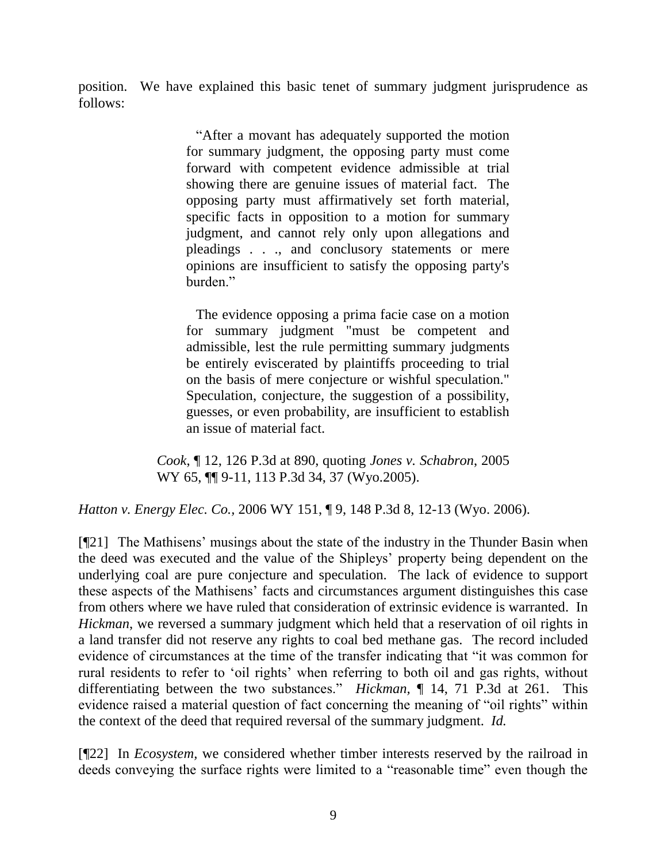position. We have explained this basic tenet of summary judgment jurisprudence as follows:

> "After a movant has adequately supported the motion for summary judgment, the opposing party must come forward with competent evidence admissible at trial showing there are genuine issues of material fact. The opposing party must affirmatively set forth material, specific facts in opposition to a motion for summary judgment, and cannot rely only upon allegations and pleadings . . ., and conclusory statements or mere opinions are insufficient to satisfy the opposing party's burden."

> The evidence opposing a prima facie case on a motion for summary judgment "must be competent and admissible, lest the rule permitting summary judgments be entirely eviscerated by plaintiffs proceeding to trial on the basis of mere conjecture or wishful speculation." Speculation, conjecture, the suggestion of a possibility, guesses, or even probability, are insufficient to establish an issue of material fact.

*Cook*, ¶ 12, 126 P.3d at 890, quoting *Jones v. Schabron*, 2005 WY 65,  $\P$ [ 9-11, 113 P.3d 34, 37 (Wyo.2005).

*Hatton v. Energy Elec. Co.,* 2006 WY 151, ¶ 9, 148 P.3d 8, 12-13 (Wyo. 2006).

[¶21] The Mathisens' musings about the state of the industry in the Thunder Basin when the deed was executed and the value of the Shipleys" property being dependent on the underlying coal are pure conjecture and speculation. The lack of evidence to support these aspects of the Mathisens" facts and circumstances argument distinguishes this case from others where we have ruled that consideration of extrinsic evidence is warranted. In *Hickman*, we reversed a summary judgment which held that a reservation of oil rights in a land transfer did not reserve any rights to coal bed methane gas. The record included evidence of circumstances at the time of the transfer indicating that "it was common for rural residents to refer to "oil rights" when referring to both oil and gas rights, without differentiating between the two substances." *Hickman,* ¶ 14, 71 P.3d at 261. This evidence raised a material question of fact concerning the meaning of "oil rights" within the context of the deed that required reversal of the summary judgment. *Id.* 

[¶22] In *Ecosystem,* we considered whether timber interests reserved by the railroad in deeds conveying the surface rights were limited to a "reasonable time" even though the